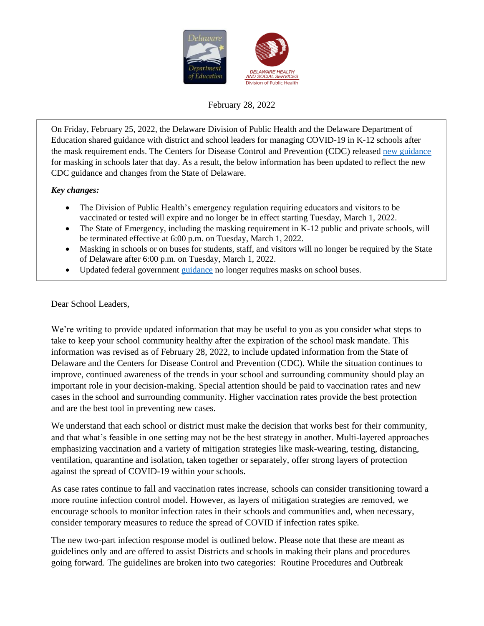

#### February 28, 2022

On Friday, February 25, 2022, the Delaware Division of Public Health and the Delaware Department of Education shared guidance with district and school leaders for managing COVID-19 in K-12 schools after the mask requirement ends. The Centers for Disease Control and Prevention (CDC) released [new guidance](https://www.cdc.gov/coronavirus/2019-ncov/science/community-levels.html) for masking in schools later that day. As a result, the below information has been updated to reflect the new CDC guidance and changes from the State of Delaware.

#### *Key changes:*

- The Division of Public Health's emergency regulation requiring educators and visitors to be vaccinated or tested will expire and no longer be in effect starting Tuesday, March 1, 2022.
- The State of Emergency, including the masking requirement in K-12 public and private schools, will be terminated effective at 6:00 p.m. on Tuesday, March 1, 2022.
- Masking in schools or on buses for students, staff, and visitors will no longer be required by the State of Delaware after 6:00 p.m. on Tuesday, March 1, 2022.
- Updated federal government *guidance* no longer requires masks on school buses.

Dear School Leaders,

We're writing to provide updated information that may be useful to you as you consider what steps to take to keep your school community healthy after the expiration of the school mask mandate. This information was revised as of February 28, 2022, to include updated information from the State of Delaware and the Centers for Disease Control and Prevention (CDC). While the situation continues to improve, continued awareness of the trends in your school and surrounding community should play an important role in your decision-making. Special attention should be paid to vaccination rates and new cases in the school and surrounding community. Higher vaccination rates provide the best protection and are the best tool in preventing new cases.

We understand that each school or district must make the decision that works best for their community, and that what's feasible in one setting may not be the best strategy in another. Multi-layered approaches emphasizing vaccination and a variety of mitigation strategies like mask-wearing, testing, distancing, ventilation, quarantine and isolation, taken together or separately, offer strong layers of protection against the spread of COVID-19 within your schools.

As case rates continue to fall and vaccination rates increase, schools can consider transitioning toward a more routine infection control model. However, as layers of mitigation strategies are removed, we encourage schools to monitor infection rates in their schools and communities and, when necessary, consider temporary measures to reduce the spread of COVID if infection rates spike.

The new two-part infection response model is outlined below. Please note that these are meant as guidelines only and are offered to assist Districts and schools in making their plans and procedures going forward. The guidelines are broken into two categories: Routine Procedures and Outbreak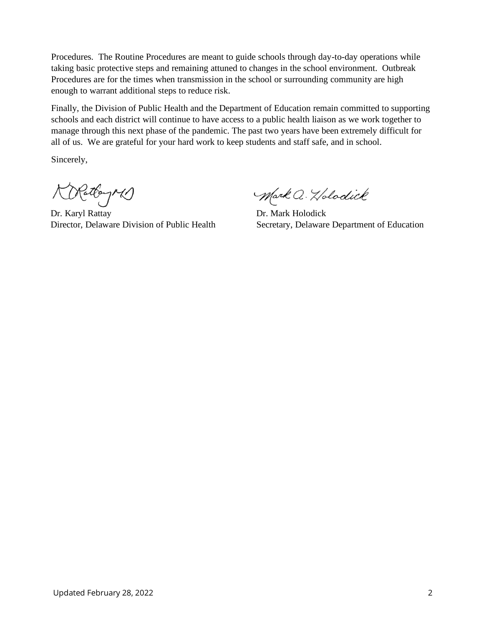Procedures. The Routine Procedures are meant to guide schools through day-to-day operations while taking basic protective steps and remaining attuned to changes in the school environment. Outbreak Procedures are for the times when transmission in the school or surrounding community are high enough to warrant additional steps to reduce risk.

Finally, the Division of Public Health and the Department of Education remain committed to supporting schools and each district will continue to have access to a public health liaison as we work together to manage through this next phase of the pandemic. The past two years have been extremely difficult for all of us. We are grateful for your hard work to keep students and staff safe, and in school.

Sincerely,

Nattay M)

Dr. Karyl Rattay Dr. Mark Holodick

Mark Q. Holodick

Director, Delaware Division of Public Health Secretary, Delaware Department of Education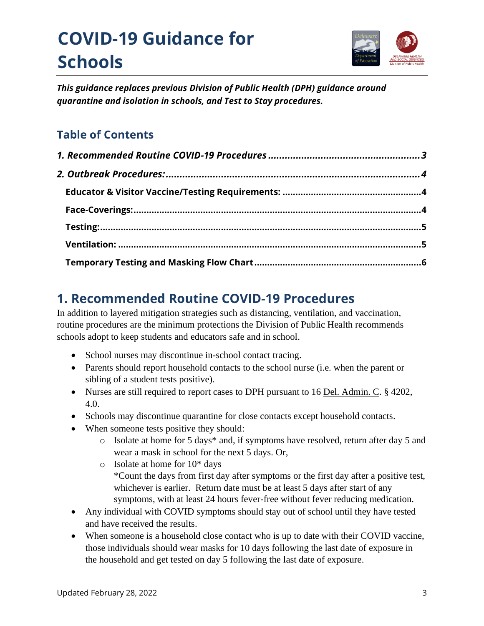# **COVID-19 Guidance for Schools**



*This guidance replaces previous Division of Public Health (DPH) guidance around quarantine and isolation in schools, and Test to Stay procedures.*

## **Table of Contents**

# <span id="page-2-0"></span>**1. Recommended Routine COVID-19 Procedures**

In addition to layered mitigation strategies such as distancing, ventilation, and vaccination, routine procedures are the minimum protections the Division of Public Health recommends schools adopt to keep students and educators safe and in school.

- School nurses may discontinue in-school contact tracing.
- Parents should report household contacts to the school nurse (i.e. when the parent or sibling of a student tests positive).
- Nurses are still required to report cases to DPH pursuant to 16 Del. Admin. C. § 4202, 4.0.
- Schools may discontinue quarantine for close contacts except household contacts.
- When someone tests positive they should:
	- o Isolate at home for 5 days\* and, if symptoms have resolved, return after day 5 and wear a mask in school for the next 5 days. Or,
	- o Isolate at home for 10\* days \*Count the days from first day after symptoms or the first day after a positive test, whichever is earlier. Return date must be at least 5 days after start of any symptoms, with at least 24 hours fever-free without fever reducing medication.
- Any individual with COVID symptoms should stay out of school until they have tested and have received the results.
- When someone is a household close contact who is up to date with their COVID vaccine, those individuals should wear masks for 10 days following the last date of exposure in the household and get tested on day 5 following the last date of exposure.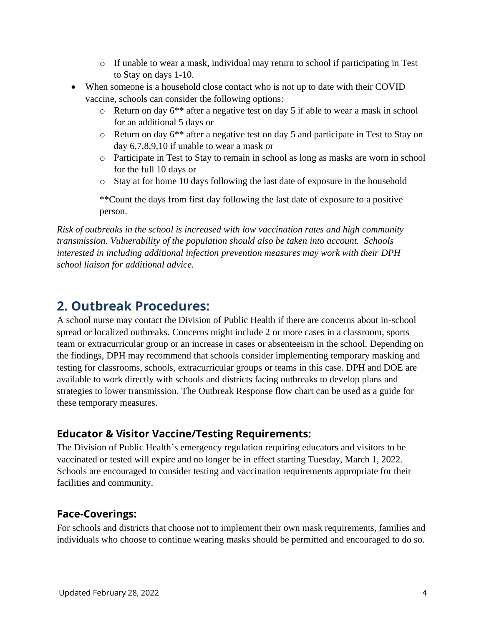- $\circ$  If unable to wear a mask, individual may return to school if participating in Test to Stay on days 1-10.
- When someone is a household close contact who is not up to date with their COVID vaccine, schools can consider the following options:
	- $\circ$  Return on day 6<sup>\*\*</sup> after a negative test on day 5 if able to wear a mask in school for an additional 5 days or
	- o Return on day 6\*\* after a negative test on day 5 and participate in Test to Stay on day 6,7,8,9,10 if unable to wear a mask or
	- o Participate in Test to Stay to remain in school as long as masks are worn in school for the full 10 days or
	- o Stay at for home 10 days following the last date of exposure in the household

\*\*Count the days from first day following the last date of exposure to a positive person.

*Risk of outbreaks in the school is increased with low vaccination rates and high community transmission. Vulnerability of the population should also be taken into account. Schools interested in including additional infection prevention measures may work with their DPH school liaison for additional advice.* 

## <span id="page-3-0"></span>**2. Outbreak Procedures:**

A school nurse may contact the Division of Public Health if there are concerns about in-school spread or localized outbreaks. Concerns might include 2 or more cases in a classroom, sports team or extracurricular group or an increase in cases or absenteeism in the school. Depending on the findings, DPH may recommend that schools consider implementing temporary masking and testing for classrooms, schools, extracurricular groups or teams in this case. DPH and DOE are available to work directly with schools and districts facing outbreaks to develop plans and strategies to lower transmission. The Outbreak Response flow chart can be used as a guide for these temporary measures.

### <span id="page-3-1"></span>**Educator & Visitor Vaccine/Testing Requirements:**

The Division of Public Health's emergency regulation requiring educators and visitors to be vaccinated or tested will expire and no longer be in effect starting Tuesday, March 1, 2022. Schools are encouraged to consider testing and vaccination requirements appropriate for their facilities and community.

#### <span id="page-3-2"></span>**Face-Coverings:**

For schools and districts that choose not to implement their own mask requirements, families and individuals who choose to continue wearing masks should be permitted and encouraged to do so.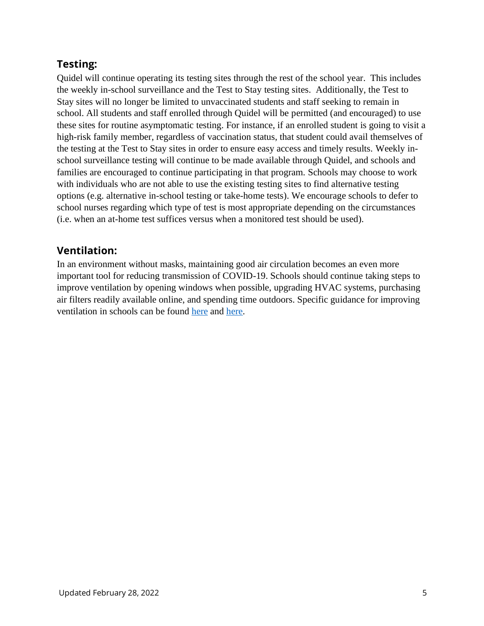### <span id="page-4-0"></span>**Testing:**

Quidel will continue operating its testing sites through the rest of the school year. This includes the weekly in-school surveillance and the Test to Stay testing sites. Additionally, the Test to Stay sites will no longer be limited to unvaccinated students and staff seeking to remain in school. All students and staff enrolled through Quidel will be permitted (and encouraged) to use these sites for routine asymptomatic testing. For instance, if an enrolled student is going to visit a high-risk family member, regardless of vaccination status, that student could avail themselves of the testing at the Test to Stay sites in order to ensure easy access and timely results. Weekly inschool surveillance testing will continue to be made available through Quidel, and schools and families are encouraged to continue participating in that program. Schools may choose to work with individuals who are not able to use the existing testing sites to find alternative testing options (e.g. alternative in-school testing or take-home tests). We encourage schools to defer to school nurses regarding which type of test is most appropriate depending on the circumstances (i.e. when an at-home test suffices versus when a monitored test should be used).

#### <span id="page-4-1"></span>**Ventilation:**

In an environment without masks, maintaining good air circulation becomes an even more important tool for reducing transmission of COVID-19. Schools should continue taking steps to improve ventilation by opening windows when possible, upgrading HVAC systems, purchasing air filters readily available online, and spending time outdoors. Specific guidance for improving ventilation in schools can be found [here](https://www.epa.gov/coronavirus/ventilation-and-coronavirus-covid-19) and [here.](https://www.cdc.gov/coronavirus/2019-ncov/community/ventilation.html)